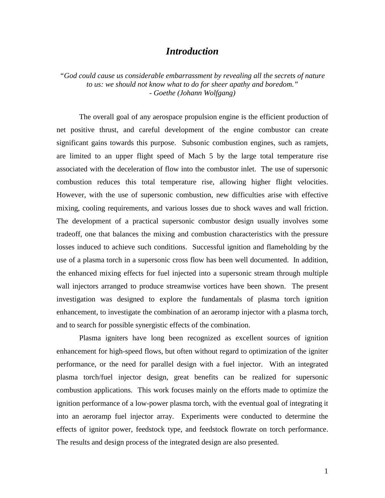# *Introduction*

*"God could cause us considerable embarrassment by revealing all the secrets of nature to us: we should not know what to do for sheer apathy and boredom." - Goethe (Johann Wolfgang)*

 The overall goal of any aerospace propulsion engine is the efficient production of net positive thrust, and careful development of the engine combustor can create significant gains towards this purpose. Subsonic combustion engines, such as ramjets, are limited to an upper flight speed of Mach 5 by the large total temperature rise associated with the deceleration of flow into the combustor inlet. The use of supersonic combustion reduces this total temperature rise, allowing higher flight velocities. However, with the use of supersonic combustion, new difficulties arise with effective mixing, cooling requirements, and various losses due to shock waves and wall friction. The development of a practical supersonic combustor design usually involves some tradeoff, one that balances the mixing and combustion characteristics with the pressure losses induced to achieve such conditions. Successful ignition and flameholding by the use of a plasma torch in a supersonic cross flow has been well documented. In addition, the enhanced mixing effects for fuel injected into a supersonic stream through multiple wall injectors arranged to produce streamwise vortices have been shown. The present investigation was designed to explore the fundamentals of plasma torch ignition enhancement, to investigate the combination of an aeroramp injector with a plasma torch, and to search for possible synergistic effects of the combination.

Plasma igniters have long been recognized as excellent sources of ignition enhancement for high-speed flows, but often without regard to optimization of the igniter performance, or the need for parallel design with a fuel injector. With an integrated plasma torch/fuel injector design, great benefits can be realized for supersonic combustion applications. This work focuses mainly on the efforts made to optimize the ignition performance of a low-power plasma torch, with the eventual goal of integrating it into an aeroramp fuel injector array. Experiments were conducted to determine the effects of ignitor power, feedstock type, and feedstock flowrate on torch performance. The results and design process of the integrated design are also presented.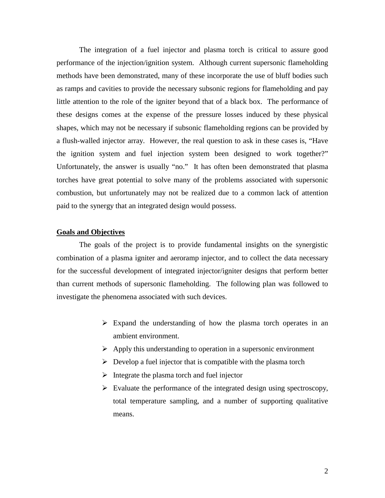The integration of a fuel injector and plasma torch is critical to assure good performance of the injection/ignition system. Although current supersonic flameholding methods have been demonstrated, many of these incorporate the use of bluff bodies such as ramps and cavities to provide the necessary subsonic regions for flameholding and pay little attention to the role of the igniter beyond that of a black box. The performance of these designs comes at the expense of the pressure losses induced by these physical shapes, which may not be necessary if subsonic flameholding regions can be provided by a flush-walled injector array. However, the real question to ask in these cases is, "Have the ignition system and fuel injection system been designed to work together?" Unfortunately, the answer is usually "no." It has often been demonstrated that plasma torches have great potential to solve many of the problems associated with supersonic combustion, but unfortunately may not be realized due to a common lack of attention paid to the synergy that an integrated design would possess.

# **Goals and Objectives**

The goals of the project is to provide fundamental insights on the synergistic combination of a plasma igniter and aeroramp injector, and to collect the data necessary for the successful development of integrated injector/igniter designs that perform better than current methods of supersonic flameholding. The following plan was followed to investigate the phenomena associated with such devices.

- $\triangleright$  Expand the understanding of how the plasma torch operates in an ambient environment.
- $\triangleright$  Apply this understanding to operation in a supersonic environment
- $\triangleright$  Develop a fuel injector that is compatible with the plasma torch
- $\triangleright$  Integrate the plasma torch and fuel injector
- $\triangleright$  Evaluate the performance of the integrated design using spectroscopy, total temperature sampling, and a number of supporting qualitative means.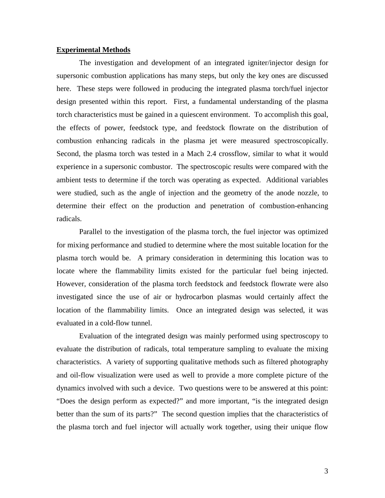#### **Experimental Methods**

 The investigation and development of an integrated igniter/injector design for supersonic combustion applications has many steps, but only the key ones are discussed here. These steps were followed in producing the integrated plasma torch/fuel injector design presented within this report. First, a fundamental understanding of the plasma torch characteristics must be gained in a quiescent environment. To accomplish this goal, the effects of power, feedstock type, and feedstock flowrate on the distribution of combustion enhancing radicals in the plasma jet were measured spectroscopically. Second, the plasma torch was tested in a Mach 2.4 crossflow, similar to what it would experience in a supersonic combustor. The spectroscopic results were compared with the ambient tests to determine if the torch was operating as expected. Additional variables were studied, such as the angle of injection and the geometry of the anode nozzle, to determine their effect on the production and penetration of combustion-enhancing radicals.

Parallel to the investigation of the plasma torch, the fuel injector was optimized for mixing performance and studied to determine where the most suitable location for the plasma torch would be. A primary consideration in determining this location was to locate where the flammability limits existed for the particular fuel being injected. However, consideration of the plasma torch feedstock and feedstock flowrate were also investigated since the use of air or hydrocarbon plasmas would certainly affect the location of the flammability limits. Once an integrated design was selected, it was evaluated in a cold-flow tunnel.

Evaluation of the integrated design was mainly performed using spectroscopy to evaluate the distribution of radicals, total temperature sampling to evaluate the mixing characteristics. A variety of supporting qualitative methods such as filtered photography and oil-flow visualization were used as well to provide a more complete picture of the dynamics involved with such a device. Two questions were to be answered at this point: "Does the design perform as expected?" and more important, "is the integrated design better than the sum of its parts?" The second question implies that the characteristics of the plasma torch and fuel injector will actually work together, using their unique flow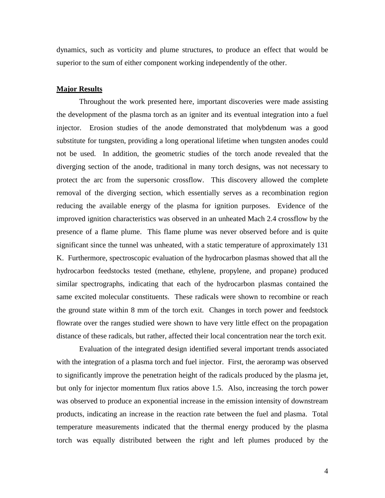dynamics, such as vorticity and plume structures, to produce an effect that would be superior to the sum of either component working independently of the other.

## **Major Results**

 Throughout the work presented here, important discoveries were made assisting the development of the plasma torch as an igniter and its eventual integration into a fuel injector. Erosion studies of the anode demonstrated that molybdenum was a good substitute for tungsten, providing a long operational lifetime when tungsten anodes could not be used. In addition, the geometric studies of the torch anode revealed that the diverging section of the anode, traditional in many torch designs, was not necessary to protect the arc from the supersonic crossflow. This discovery allowed the complete removal of the diverging section, which essentially serves as a recombination region reducing the available energy of the plasma for ignition purposes. Evidence of the improved ignition characteristics was observed in an unheated Mach 2.4 crossflow by the presence of a flame plume. This flame plume was never observed before and is quite significant since the tunnel was unheated, with a static temperature of approximately 131 K. Furthermore, spectroscopic evaluation of the hydrocarbon plasmas showed that all the hydrocarbon feedstocks tested (methane, ethylene, propylene, and propane) produced similar spectrographs, indicating that each of the hydrocarbon plasmas contained the same excited molecular constituents. These radicals were shown to recombine or reach the ground state within 8 mm of the torch exit. Changes in torch power and feedstock flowrate over the ranges studied were shown to have very little effect on the propagation distance of these radicals, but rather, affected their local concentration near the torch exit.

 Evaluation of the integrated design identified several important trends associated with the integration of a plasma torch and fuel injector. First, the aeroramp was observed to significantly improve the penetration height of the radicals produced by the plasma jet, but only for injector momentum flux ratios above 1.5. Also, increasing the torch power was observed to produce an exponential increase in the emission intensity of downstream products, indicating an increase in the reaction rate between the fuel and plasma. Total temperature measurements indicated that the thermal energy produced by the plasma torch was equally distributed between the right and left plumes produced by the